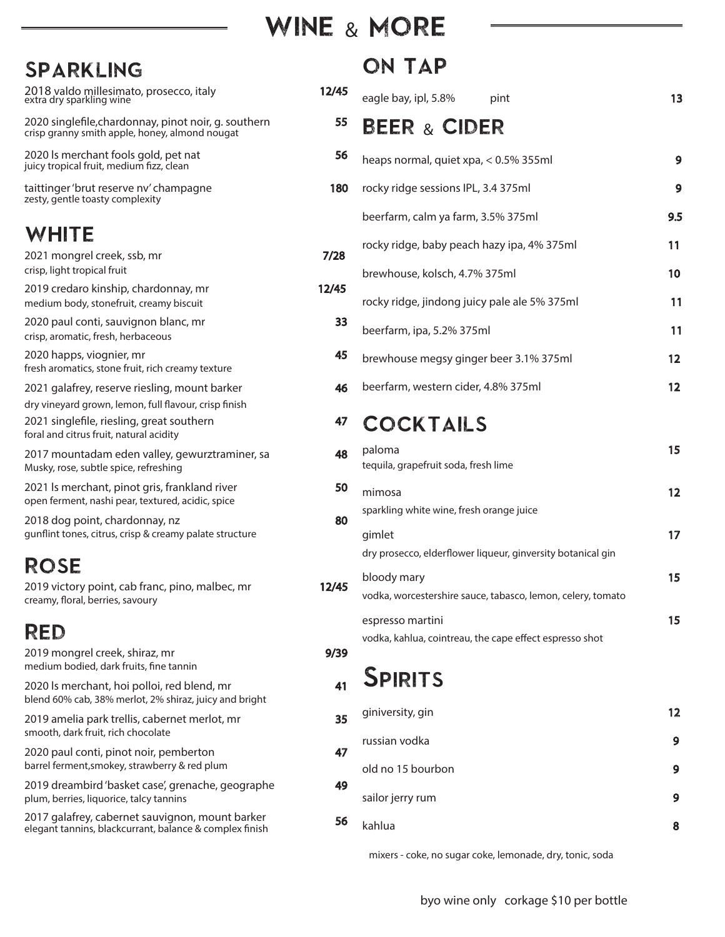## WINE & MORE

| SPARKLING                                                                                                                                     |       |         |
|-----------------------------------------------------------------------------------------------------------------------------------------------|-------|---------|
| 2018 valdo millesimato, prosecco, italy<br>extra dry sparkling wine                                                                           | 12/45 | e       |
| 2020 singlefile, chardonnay, pinot noir, g. southern<br>crisp granny smith apple, honey, almond nougat                                        | 55    | E       |
| 2020 Is merchant fools gold, pet nat<br>juicy tropical fruit, medium fizz, clean                                                              | 56    | h       |
| taittinger 'brut reserve nv' champagne<br>zesty, gentle toasty complexity                                                                     | 180   | rc      |
|                                                                                                                                               |       | b       |
| WHITE                                                                                                                                         |       | rc      |
| 2021 mongrel creek, ssb, mr<br>crisp, light tropical fruit                                                                                    | 7/28  | b       |
| 2019 credaro kinship, chardonnay, mr<br>medium body, stonefruit, creamy biscuit                                                               | 12/45 | r       |
| 2020 paul conti, sauvignon blanc, mr<br>crisp, aromatic, fresh, herbaceous                                                                    | 33    | b       |
| 2020 happs, viognier, mr<br>fresh aromatics, stone fruit, rich creamy texture                                                                 | 45    | b       |
| 2021 galafrey, reserve riesling, mount barker                                                                                                 | 46    | b       |
| dry vineyard grown, lemon, full flavour, crisp finish<br>2021 singlefile, riesling, great southern<br>foral and citrus fruit, natural acidity | 47    |         |
| 2017 mountadam eden valley, gewurztraminer, sa<br>Musky, rose, subtle spice, refreshing                                                       | 48    | p<br>te |
| 2021 Is merchant, pinot gris, frankland river<br>open ferment, nashi pear, textured, acidic, spice                                            | 50    | m       |
| 2018 dog point, chardonnay, nz<br>gunflint tones, citrus, crisp & creamy palate structure                                                     | 80    | S<br>g  |
| ROSE                                                                                                                                          |       | d       |
| 2019 victory point, cab franc, pino, malbec, mr<br>creamy, floral, berries, savoury                                                           | 12/45 | b<br>v  |
| RED                                                                                                                                           |       | e       |
| 2019 mongrel creek, shiraz, mr                                                                                                                | 9/39  | v       |
| medium bodied, dark fruits, fine tannin                                                                                                       |       | €       |
| 2020 Is merchant, hoi polloi, red blend, mr<br>blend 60% cab, 38% merlot, 2% shiraz, juicy and bright                                         | 41    |         |
| 2019 amelia park trellis, cabernet merlot, mr<br>smooth, dark fruit, rich chocolate                                                           | 35    | g       |
| 2020 paul conti, pinot noir, pemberton<br>barrel ferment, smokey, strawberry & red plum                                                       | 47    | rı<br>o |
| 2019 dreambird 'basket case', grenache, geographe<br>plum, berries, liquorice, talcy tannins                                                  | 49    | S       |
| 2017 galafrey, cabernet sauvignon, mount barker<br>elegant tannins, blackcurrant, balance & complex finish                                    | 56    | k       |

## ON TAP

|   | eagle bay, ipl, 5.8%<br>pint                                                | 13                |
|---|-----------------------------------------------------------------------------|-------------------|
|   | <b>BEER &amp; CIDER</b>                                                     |                   |
|   | heaps normal, quiet xpa, < 0.5% 355ml                                       | 9                 |
| ) | rocky ridge sessions IPL, 3.4 375ml                                         | 9                 |
|   | beerfarm, calm ya farm, 3.5% 375ml                                          | 9.5               |
|   | rocky ridge, baby peach hazy ipa, 4% 375ml                                  | 11                |
|   | brewhouse, kolsch, 4.7% 375ml                                               | 10                |
|   | rocky ridge, jindong juicy pale ale 5% 375ml                                | 11                |
|   | beerfarm, ipa, 5.2% 375ml                                                   | 11                |
|   | brewhouse megsy ginger beer 3.1% 375ml                                      | $12 \,$           |
|   | beerfarm, western cider, 4.8% 375ml                                         | $12 \,$           |
|   | <b>COCKTAILS</b>                                                            |                   |
|   | paloma<br>tequila, grapefruit soda, fresh lime                              | 15                |
|   | mimosa                                                                      | $12 \overline{ }$ |
|   | sparkling white wine, fresh orange juice                                    |                   |
|   | gimlet<br>dry prosecco, elderflower liqueur, ginversity botanical gin       | 17                |
|   | bloody mary<br>vodka, worcestershire sauce, tabasco, lemon, celery, tomato  | 15                |
|   | espresso martini<br>vodka, kahlua, cointreau, the cape effect espresso shot | 15                |
|   |                                                                             |                   |

# **SPIRITS**

|  | giniversity, gin  | 12 |
|--|-------------------|----|
|  | russian vodka     | 9  |
|  | old no 15 bourbon | 9  |
|  | sailor jerry rum  | 9  |
|  | kahlua            | 8  |

mixers - coke, no sugar coke, lemonade, dry, tonic, soda